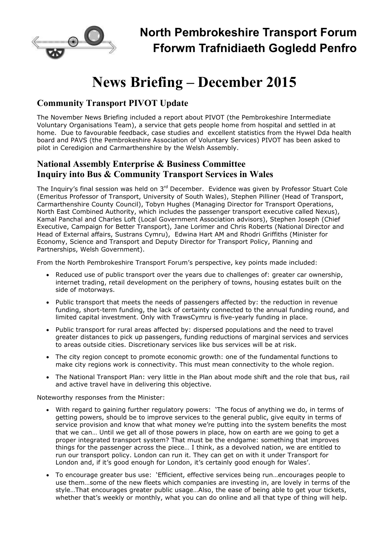

# **News Briefing – December 2015**

## **Community Transport PIVOT Update**

The November News Briefing included a report about PIVOT (the Pembrokeshire Intermediate Voluntary Organisations Team), a service that gets people home from hospital and settled in at home. Due to favourable feedback, case studies and excellent statistics from the Hywel Dda health board and PAVS (the Pembrokeshire Association of Voluntary Services) PIVOT has been asked to pilot in Ceredigion and Carmarthenshire by the Welsh Assembly.

### **National Assembly Enterprise & Business Committee Inquiry into Bus & Community Transport Services in Wales**

The Inquiry's final session was held on 3rd December. Evidence was given by Professor Stuart Cole (Emeritus Professor of Transport, University of South Wales), Stephen Pilliner (Head of Transport, Carmarthenshire County Council), Tobyn Hughes (Managing Director for Transport Operations, North East Combined Authority, which includes the passenger transport executive called Nexus), Kamal Panchal and Charles Loft (Local Government Association advisors), Stephen Joseph (Chief Executive, Campaign for Better Transport), Jane Lorimer and Chris Roberts (National Director and Head of External affairs, Sustrans Cymru), Edwina Hart AM and Rhodri Griffiths (Minister for Economy, Science and Transport and Deputy Director for Transport Policy, Planning and Partnerships, Welsh Government).

From the North Pembrokeshire Transport Forum's perspective, key points made included:

- Reduced use of public transport over the years due to challenges of: greater car ownership, internet trading, retail development on the periphery of towns, housing estates built on the side of motorways.
- Public transport that meets the needs of passengers affected by: the reduction in revenue funding, short-term funding, the lack of certainty connected to the annual funding round, and limited capital investment. Only with TrawsCymru is five-yearly funding in place.
- Public transport for rural areas affected by: dispersed populations and the need to travel greater distances to pick up passengers, funding reductions of marginal services and services to areas outside cities. Discretionary services like bus services will be at risk.
- The city region concept to promote economic growth: one of the fundamental functions to make city regions work is connectivity. This must mean connectivity to the whole region.
- The National Transport Plan: very little in the Plan about mode shift and the role that bus, rail and active travel have in delivering this objective.

Noteworthy responses from the Minister:

- With regard to gaining further regulatory powers: 'The focus of anything we do, in terms of getting powers, should be to improve services to the general public, give equity in terms of service provision and know that what money we're putting into the system benefits the most that we can… Until we get all of those powers in place, how on earth are we going to get a proper integrated transport system? That must be the endgame: something that improves things for the passenger across the piece… I think, as a devolved nation, we are entitled to run our transport policy. London can run it. They can get on with it under Transport for London and, if it's good enough for London, it's certainly good enough for Wales'.
- To encourage greater bus use: 'Efficient, effective services being run…encourages people to use them…some of the new fleets which companies are investing in, are lovely in terms of the style…That encourages greater public usage…Also, the ease of being able to get your tickets, whether that's weekly or monthly, what you can do online and all that type of thing will help.